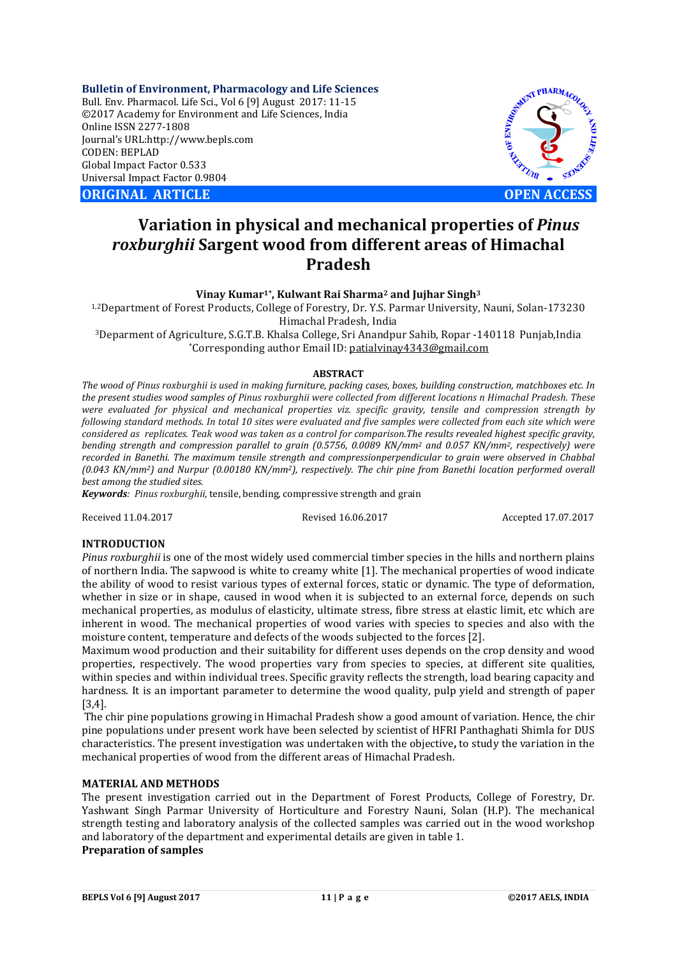**Bulletin of Environment, Pharmacology and Life Sciences** Bull. Env. Pharmacol. Life Sci., Vol 6 [9] August 2017: 11-15 ©2017 Academy for Environment and Life Sciences, India Online ISSN 2277-1808 Journal's URL:http://www.bepls.com CODEN: BEPLAD Global Impact Factor 0.533 Universal Impact Factor 0.9804

**ORIGINAL ARTICLE OPEN ACCESS**



# **Variation in physical and mechanical properties of** *Pinus roxburghii* **Sargent wood from different areas of Himachal Pradesh**

**Vinay Kumar1\*, Kulwant Rai Sharma2 and Jujhar Singh3**

1,2Department of Forest Products, College of Forestry, Dr. Y.S. Parmar University, Nauni, Solan-173230 Himachal Pradesh, India

3Deparment of Agriculture, S.G.T.B. Khalsa College, Sri Anandpur Sahib, Ropar -140118 Punjab,India \*Corresponding author Email ID: patialvinay4343@gmail.com

#### **ABSTRACT**

*The wood of Pinus roxburghii is used in making furniture, packing cases, boxes, building construction, matchboxes etc. In the present studies wood samples of Pinus roxburghii were collected from different locations n Himachal Pradesh. These were evaluated for physical and mechanical properties viz. specific gravity, tensile and compression strength by following standard methods. In total 10 sites were evaluated and five samples were collected from each site which were considered as replicates. Teak wood was taken as a control for comparison.The results revealed highest specific gravity, bending strength and compression parallel to grain (0.5756, 0.0089 KN/mm2 and 0.057 KN/mm2, respectively) were recorded in Banethi. The maximum tensile strength and compressionperpendicular to grain were observed in Chabbal (0.043 KN/mm2) and Nurpur (0.00180 KN/mm2), respectively. The chir pine from Banethi location performed overall best among the studied sites.* 

*Keywords: Pinus roxburghii*, tensile, bending, compressive strength and grain

Received 11.04.2017 Revised 16.06.2017 Accepted 17.07.2017

#### **INTRODUCTION**

*Pinus roxburghii* is one of the most widely used commercial timber species in the hills and northern plains of northern India. The sapwood is white to creamy white [1]. The mechanical properties of wood indicate the ability of wood to resist various types of external forces, static or dynamic. The type of deformation, whether in size or in shape, caused in wood when it is subjected to an external force, depends on such mechanical properties, as modulus of elasticity, ultimate stress, fibre stress at elastic limit, etc which are inherent in wood. The mechanical properties of wood varies with species to species and also with the moisture content, temperature and defects of the woods subjected to the forces [2].

Maximum wood production and their suitability for different uses depends on the crop density and wood properties, respectively. The wood properties vary from species to species, at different site qualities, within species and within individual trees. Specific gravity reflects the strength, load bearing capacity and hardness. It is an important parameter to determine the wood quality, pulp yield and strength of paper [3,4].

The chir pine populations growing in Himachal Pradesh show a good amount of variation. Hence, the chir pine populations under present work have been selected by scientist of HFRI Panthaghati Shimla for DUS characteristics. The present investigation was undertaken with the objective**,** to study the variation in the mechanical properties of wood from the different areas of Himachal Pradesh.

#### **MATERIAL AND METHODS**

The present investigation carried out in the Department of Forest Products, College of Forestry, Dr. Yashwant Singh Parmar University of Horticulture and Forestry Nauni, Solan (H.P). The mechanical strength testing and laboratory analysis of the collected samples was carried out in the wood workshop and laboratory of the department and experimental details are given in table 1.

# **Preparation of samples**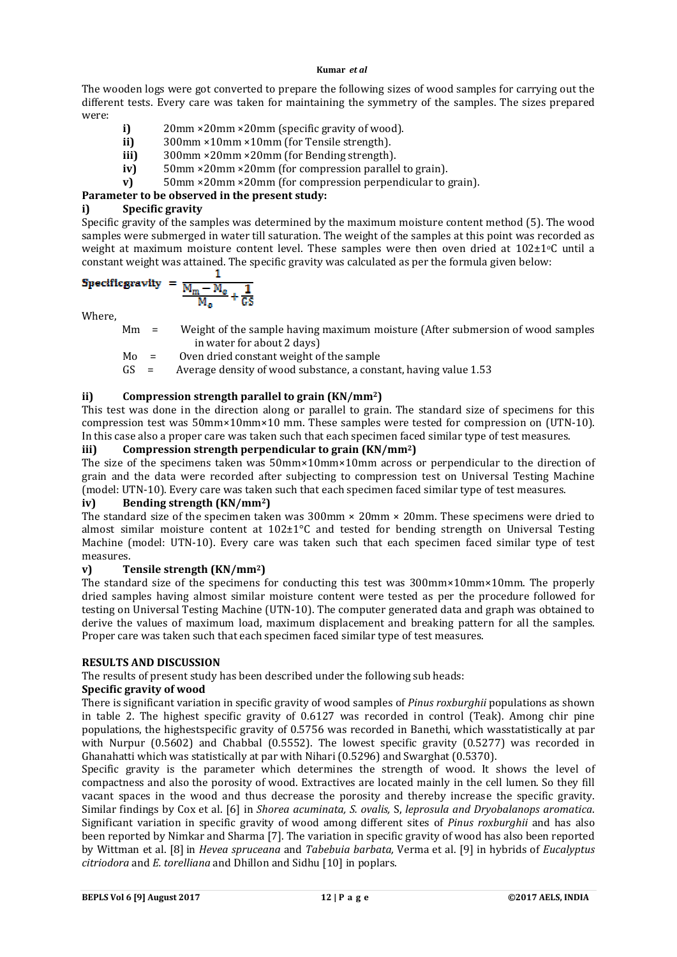#### **Kumar** *et al*

The wooden logs were got converted to prepare the following sizes of wood samples for carrying out the different tests. Every care was taken for maintaining the symmetry of the samples. The sizes prepared were:

- **i)** 20mm ×20mm ×20mm (specific gravity of wood).
- **ii)** 300mm ×10mm ×10mm (for Tensile strength).<br>**iii)** 300mm ×20mm ×20mm (for Bending strength).
- 300mm ×20mm ×20mm (for Bending strength).
- **iv)** 50mm ×20mm ×20mm (for compression parallel to grain).
- **v)** 50mm ×20mm ×20mm (for compression perpendicular to grain).

## **Parameter to be observed in the present study:**

## **i) Specific gravity**

Specific gravity of the samples was determined by the maximum moisture content method (5). The wood samples were submerged in water till saturation. The weight of the samples at this point was recorded as weight at maximum moisture content level. These samples were then oven dried at  $102\pm1$ <sup>o</sup>C until a constant weight was attained. The specific gravity was calculated as per the formula given below:

Specificgravity = 
$$
\frac{\frac{1}{M_m - M_0}}{\frac{M_0}{M_0} + \frac{1}{GS}}
$$

Where,

- Mm = Weight of the sample having maximum moisture (After submersion of wood samples in water for about 2 days)
- Mo = Oven dried constant weight of the sample
- $GS =$  Average density of wood substance, a constant, having value 1.53

## **ii) Compression strength parallel to grain (KN/mm2)**

This test was done in the direction along or parallel to grain. The standard size of specimens for this compression test was 50mm×10mm×10 mm. These samples were tested for compression on (UTN-10). In this case also a proper care was taken such that each specimen faced similar type of test measures.

### **iii) Compression strength perpendicular to grain (KN/mm2)**

The size of the specimens taken was 50mm×10mm×10mm across or perpendicular to the direction of grain and the data were recorded after subjecting to compression test on Universal Testing Machine (model: UTN-10). Every care was taken such that each specimen faced similar type of test measures.

### **iv) Bending strength (KN/mm2)**

The standard size of the specimen taken was  $300 \text{mm} \times 20 \text{mm} \times 20 \text{mm}$ . These specimens were dried to almost similar moisture content at  $102\pm1\degree$ C and tested for bending strength on Universal Testing Machine (model: UTN-10). Every care was taken such that each specimen faced similar type of test measures.

### **v) Tensile strength (KN/mm2)**

The standard size of the specimens for conducting this test was 300mm×10mm×10mm. The properly dried samples having almost similar moisture content were tested as per the procedure followed for testing on Universal Testing Machine (UTN-10). The computer generated data and graph was obtained to derive the values of maximum load, maximum displacement and breaking pattern for all the samples. Proper care was taken such that each specimen faced similar type of test measures.

### **RESULTS AND DISCUSSION**

The results of present study has been described under the following sub heads:

### **Specific gravity of wood**

There is significant variation in specific gravity of wood samples of *Pinus roxburghii* populations as shown in table 2. The highest specific gravity of 0.6127 was recorded in control (Teak). Among chir pine populations, the highestspecific gravity of 0.5756 was recorded in Banethi, which wasstatistically at par with Nurpur (0.5602) and Chabbal (0.5552). The lowest specific gravity (0.5277) was recorded in Ghanahatti which was statistically at par with Nihari (0.5296) and Swarghat (0.5370).

Specific gravity is the parameter which determines the strength of wood. It shows the level of compactness and also the porosity of wood. Extractives are located mainly in the cell lumen. So they fill vacant spaces in the wood and thus decrease the porosity and thereby increase the specific gravity. Similar findings by Cox et al. [6] in *Shorea acuminata, S. ovalis,* S, *leprosula and Dryobalanops aromatica*. Significant variation in specific gravity of wood among different sites of *Pinus roxburghii* and has also been reported by Nimkar and Sharma [7]. The variation in specific gravity of wood has also been reported by Wittman et al. [8] in *Hevea spruceana* and *Tabebuia barbata,* Verma et al. [9] in hybrids of *Eucalyptus citriodora* and *E. torelliana* and Dhillon and Sidhu [10] in poplars.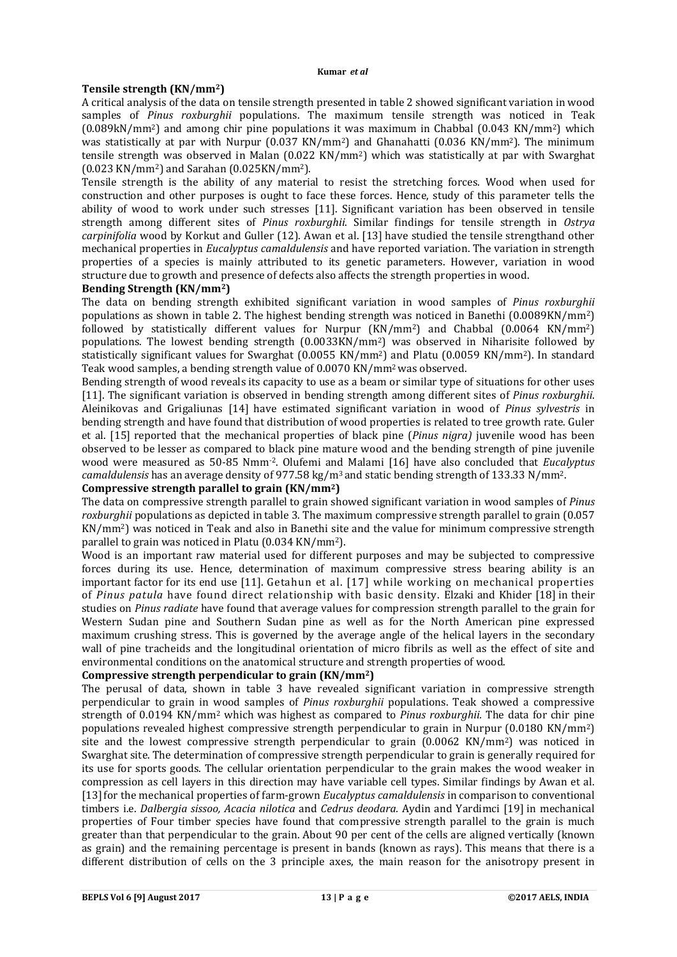#### **Tensile strength (KN/mm2)**

A critical analysis of the data on tensile strength presented in table 2 showed significant variation in wood samples of *Pinus roxburghii* populations. The maximum tensile strength was noticed in Teak  $(0.089kN/mm^2)$  and among chir pine populations it was maximum in Chabbal  $(0.043 \text{ KN/mm}^2)$  which was statistically at par with Nurpur (0.037 KN/mm<sup>2</sup>) and Ghanahatti (0.036 KN/mm<sup>2</sup>). The minimum tensile strength was observed in Malan (0.022 KN/mm2) which was statistically at par with Swarghat (0.023 KN/mm2) and Sarahan (0.025KN/mm2).

Tensile strength is the ability of any material to resist the stretching forces. Wood when used for construction and other purposes is ought to face these forces. Hence, study of this parameter tells the ability of wood to work under such stresses [11]. Significant variation has been observed in tensile strength among different sites of *Pinus roxburghii*. Similar findings for tensile strength in *Ostrya carpinifolia* wood by Korkut and Guller (12). Awan et al. [13] have studied the tensile strengthand other mechanical properties in *Eucalyptus camaldulensis* and have reported variation. The variation in strength properties of a species is mainly attributed to its genetic parameters. However, variation in wood structure due to growth and presence of defects also affects the strength properties in wood.

#### **Bending Strength (KN/mm2)**

The data on bending strength exhibited significant variation in wood samples of *Pinus roxburghii* populations as shown in table 2. The highest bending strength was noticed in Banethi (0.0089KN/mm2) followed by statistically different values for Nurpur (KN/mm2) and Chabbal (0.0064 KN/mm2) populations. The lowest bending strength (0.0033KN/mm2) was observed in Niharisite followed by statistically significant values for Swarghat (0.0055 KN/mm2) and Platu (0.0059 KN/mm2). In standard Teak wood samples, a bending strength value of 0.0070 KN/mm2was observed.

Bending strength of wood reveals its capacity to use as a beam or similar type of situations for other uses [11]. The significant variation is observed in bending strength among different sites of *Pinus roxburghii*. Aleinikovas and Grigaliunas [14] have estimated significant variation in wood of *Pinus sylvestris* in bending strength and have found that distribution of wood properties is related to tree growth rate. Guler et al. [15] reported that the mechanical properties of black pine (*Pinus nigra)* juvenile wood has been observed to be lesser as compared to black pine mature wood and the bending strength of pine juvenile wood were measured as 50-85 Nmm-2. Olufemi and Malami [16] have also concluded that *Eucalyptus camaldulensis* has an average density of 977.58 kg/m3 and static bending strength of 133.33 N/mm2.

#### **Compressive strength parallel to grain (KN/mm2)**

The data on compressive strength parallel to grain showed significant variation in wood samples of *Pinus roxburghii* populations as depicted in table 3. The maximum compressive strength parallel to grain (0.057 KN/mm2) was noticed in Teak and also in Banethi site and the value for minimum compressive strength parallel to grain was noticed in Platu (0.034 KN/mm2).

Wood is an important raw material used for different purposes and may be subjected to compressive forces during its use. Hence, determination of maximum compressive stress bearing ability is an important factor for its end use [11]. Getahun et al. [17] while working on mechanical properties of *Pinus patula* have found direct relationship with basic density. Elzaki and Khider [18] in their studies on *Pinus radiate* have found that average values for compression strength parallel to the grain for Western Sudan pine and Southern Sudan pine as well as for the North American pine expressed maximum crushing stress. This is governed by the average angle of the helical layers in the secondary wall of pine tracheids and the longitudinal orientation of micro fibrils as well as the effect of site and environmental conditions on the anatomical structure and strength properties of wood.

### **Compressive strength perpendicular to grain (KN/mm2)**

The perusal of data, shown in table 3 have revealed significant variation in compressive strength perpendicular to grain in wood samples of *Pinus roxburghii* populations. Teak showed a compressive strength of 0.0194 KN/mm2 which was highest as compared to *Pinus roxburghii.* The data for chir pine populations revealed highest compressive strength perpendicular to grain in Nurpur (0.0180 KN/mm2) site and the lowest compressive strength perpendicular to grain  $(0.0062 \text{ KN/mm}^2)$  was noticed in Swarghat site. The determination of compressive strength perpendicular to grain is generally required for its use for sports goods. The cellular orientation perpendicular to the grain makes the wood weaker in compression as cell layers in this direction may have variable cell types. Similar findings by Awan et al. [13]for the mechanical properties of farm-grown *Eucalyptus camaldulensis* in comparison to conventional timbers i.e. *Dalbergia sissoo, Acacia nilotica* and *Cedrus deodara.* Aydin and Yardimci [19] in mechanical properties of Four timber species have found that compressive strength parallel to the grain is much greater than that perpendicular to the grain. About 90 per cent of the cells are aligned vertically (known as grain) and the remaining percentage is present in bands (known as rays). This means that there is a different distribution of cells on the 3 principle axes, the main reason for the anisotropy present in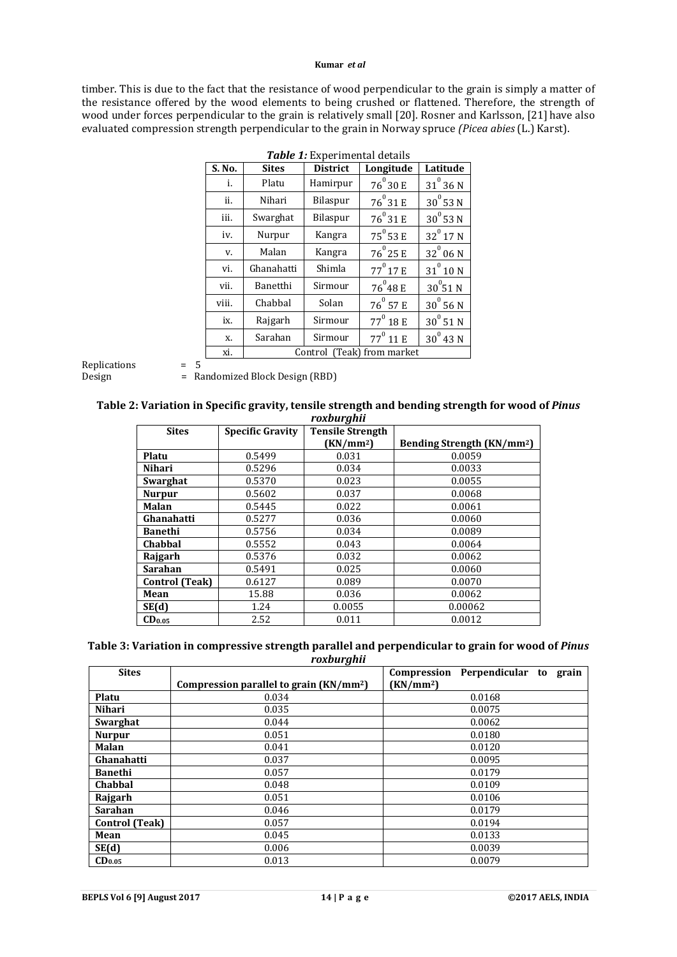#### **Kumar** *et al*

timber. This is due to the fact that the resistance of wood perpendicular to the grain is simply a matter of the resistance offered by the wood elements to being crushed or flattened. Therefore, the strength of wood under forces perpendicular to the grain is relatively small [20]. Rosner and Karlsson, [21] have also evaluated compression strength perpendicular to the grain in Norway spruce *(Picea abies* (L.) Karst).

| S. No. | <b>Sites</b>               | <b>District</b> | Longitude         | Latitude      |
|--------|----------------------------|-----------------|-------------------|---------------|
| i.     | Platu                      | Hamirpur        | $76^{\circ}30E$   | $31^{0}$ 36 N |
| ii.    | Nihari                     | Bilaspur        | $76^0 31 E$       | $30^0$ 53 N   |
| iii.   | Swarghat                   | Bilaspur        | $76^0 31 E$       | $30^0$ 53 N   |
| iv.    | Nurpur                     | Kangra          | $75^{\circ}$ 53 E | $32^{0}$ 17 N |
| v.     | Malan                      | Kangra          | $76^{0}$ 25 E     | $32^0$ 06 N   |
| vi.    | Ghanahatti                 | Shimla          | $77^{0}$ 17 E     | $31^0$ 10 N   |
| vii.   | Banetthi                   | Sirmour         | $76^{0}48E$       | $30^0$ 51 N   |
| viii.  | Chabbal                    | Solan           | $76^{\circ}$ 57 E | $30^0$ 56 N   |
| ix.    | Rajgarh                    | Sirmour         | $77^0$ 18 E       | $30^0$ 51 N   |
| X.     | Sarahan                    | Sirmour         | $77^{0}$ 11 E     | $30^0$ 43 N   |
| xi.    | Control (Teak) from market |                 |                   |               |

| Table 1: Experimental details |  |
|-------------------------------|--|
|-------------------------------|--|

Replications = 5

Design = Randomized Block Design (RBD)

#### **Table 2: Variation in Specific gravity, tensile strength and bending strength for wood of** *Pinus roxburghii*

| і бариі уніг       |                         |                         |                                        |  |  |  |
|--------------------|-------------------------|-------------------------|----------------------------------------|--|--|--|
| <b>Sites</b>       | <b>Specific Gravity</b> | <b>Tensile Strength</b> |                                        |  |  |  |
|                    |                         | (KN/mm <sup>2</sup> )   | Bending Strength (KN/mm <sup>2</sup> ) |  |  |  |
| Platu              | 0.5499                  | 0.031                   | 0.0059                                 |  |  |  |
| Nihari             | 0.5296                  | 0.034                   | 0.0033                                 |  |  |  |
| Swarghat           | 0.5370                  | 0.023                   | 0.0055                                 |  |  |  |
| <b>Nurpur</b>      | 0.5602                  | 0.037                   | 0.0068                                 |  |  |  |
| <b>Malan</b>       | 0.5445                  | 0.022                   | 0.0061                                 |  |  |  |
| Ghanahatti         | 0.5277                  | 0.036                   | 0.0060                                 |  |  |  |
| <b>Banethi</b>     | 0.5756                  | 0.034                   | 0.0089                                 |  |  |  |
| <b>Chabbal</b>     | 0.5552                  | 0.043                   | 0.0064                                 |  |  |  |
| Rajgarh            | 0.5376                  | 0.032                   | 0.0062                                 |  |  |  |
| <b>Sarahan</b>     | 0.5491                  | 0.025                   | 0.0060                                 |  |  |  |
| Control (Teak)     | 0.6127                  | 0.089                   | 0.0070                                 |  |  |  |
| Mean               | 15.88                   | 0.036                   | 0.0062                                 |  |  |  |
| SE(d)              | 1.24                    | 0.0055                  | 0.00062                                |  |  |  |
| CD <sub>0.05</sub> | 2.52                    | 0.011                   | 0.0012                                 |  |  |  |

#### **Table 3: Variation in compressive strength parallel and perpendicular to grain for wood of** *Pinus roxburghii*

| <b>Sites</b>          | ້                                                   | Compression Perpendicular to grain |
|-----------------------|-----------------------------------------------------|------------------------------------|
|                       | Compression parallel to grain (KN/mm <sup>2</sup> ) | (KN/mm <sup>2</sup> )              |
| Platu                 | 0.034                                               | 0.0168                             |
| Nihari                | 0.035                                               | 0.0075                             |
| Swarghat              | 0.044                                               | 0.0062                             |
| <b>Nurpur</b>         | 0.051                                               | 0.0180                             |
| <b>Malan</b>          | 0.041                                               | 0.0120                             |
| Ghanahatti            | 0.037                                               | 0.0095                             |
| Banethi               | 0.057                                               | 0.0179                             |
| <b>Chabbal</b>        | 0.048                                               | 0.0109                             |
| Rajgarh               | 0.051                                               | 0.0106                             |
| Sarahan               | 0.046                                               | 0.0179                             |
| <b>Control</b> (Teak) | 0.057                                               | 0.0194                             |
| Mean                  | 0.045                                               | 0.0133                             |
| SE(d)                 | 0.006                                               | 0.0039                             |
| CD <sub>0.05</sub>    | 0.013                                               | 0.0079                             |